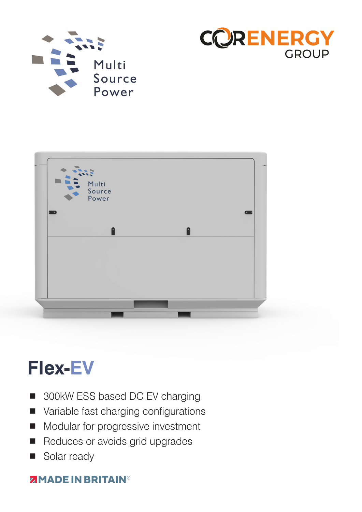





# **Flex-EV**

- 300kW ESS based DC EV charging
- Variable fast charging configurations
- Modular for progressive investment
- Reduces or avoids grid upgrades
- Solar ready

### **ZIMADE IN BRITAIN®**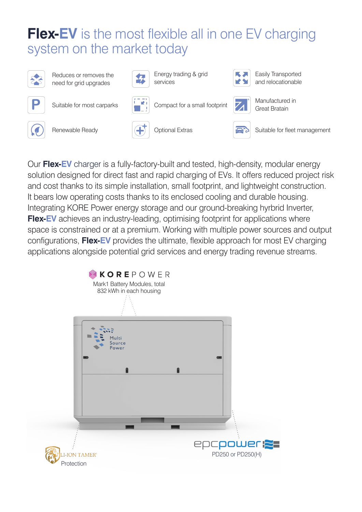## **Flex-EV** is the most flexible all in one EV charging system on the market today



Reduces or removes the need for grid upgrades



Energy trading & grid services



Easily Transported and relocationable





Suitable for most carparks  $\begin{bmatrix} 1 & 1 \\ 1 & 1 \end{bmatrix}$  Compact for a small footprint



Optional Extras  $\sqrt{2}$  Suitable for fleet management

Manufactured in

Great Bratain



Renewable Ready

Our **Flex-EV** charger is a fully-factory-built and tested, high-density, modular energy solution designed for direct fast and rapid charging of EVs. It offers reduced project risk and cost thanks to its simple installation, small footprint, and lightweight construction. It bears low operating costs thanks to its enclosed cooling and durable housing. Integrating KORE Power energy storage and our ground-breaking hyrbrid Inverter, **Flex-EV** achieves an industry-leading, optimising footprint for applications where space is constrained or at a premium. Working with multiple power sources and output configurations, **Flex-EV** provides the ultimate, flexible approach for most EV charging applications alongside potential grid services and energy trading revenue streams.

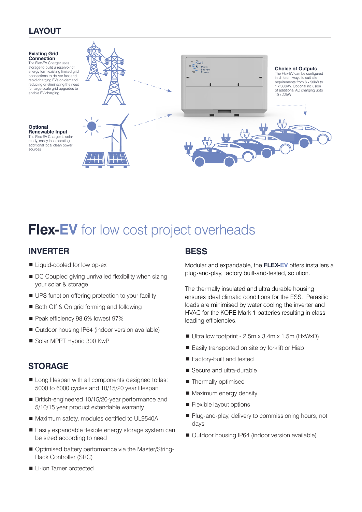### **LAYOUT**



## **Flex-EV** for low cost project overheads

#### **INVERTER**

- Liquid-cooled for low op-ex
- DC Coupled giving unrivalled flexibility when sizing your solar & storage
- UPS function offering protection to your facility
- Both Off & On grid forming and following
- Peak efficiency 98.6% lowest 97%
- Outdoor housing IP64 (indoor version available)
- Solar MPPT Hybrid 300 KwP

#### **STORAGE**

- Long lifespan with all components designed to last 5000 to 6000 cycles and 10/15/20 year lifespan
- British-engineered 10/15/20-year performance and 5/10/15 year product extendable warranty
- Maximum safety, modules certified to UL9540A
- Easily expandable flexible energy storage system can be sized according to need
- Optimised battery performance via the Master/String-Rack Controller (SRC)

#### **Li-ion Tamer protected**

#### **BESS**

Modular and expandable, the **FLEX-EV** offers installers a plug-and-play, factory built-and-tested, solution.

The thermally insulated and ultra durable housing ensures ideal climatic conditions for the ESS. Parasitic loads are minimised by water cooling the inverter and HVAC for the KORE Mark 1 batteries resulting in class leading efficiencies.

- Ultra low footprint 2.5m x 3.4m x 1.5m (HxWxD)
- Easily transported on site by forklift or Hiab
- Factory-built and tested
- Secure and ultra-durable
- **Thermally optimised**
- **Maximum energy density**
- **Flexible layout options**
- Plug-and-play, delivery to commissioning hours, not days
- Outdoor housing IP64 (indoor version available)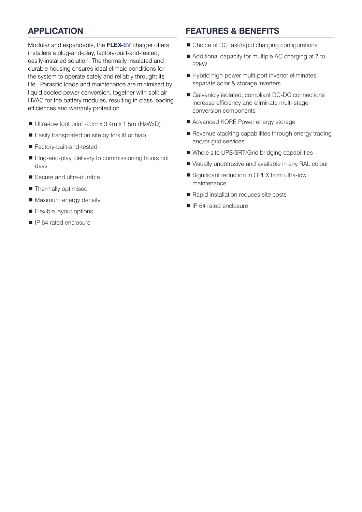#### **APPLICATION**

Modular and expandable, the **FLEX-EV** charger offers installers a plug-and-play, factory-built-and-tested, easily-installed solution. The thermally insulated and durable housing ensures ideal climaic conditions for the system to operate safely and reliably throught its life. Parasitic loads and maintenance are minimised by liquid cooled power conversion, together with split air HVAC for the battery modules, resulting in class leading efficiences and warranty protection.

- Ultra-low foot print -2.5mx 3.4m x 1.5m (HxWxD)
- Easily transported on site by forklift or hiab
- Factory-built-and-tested
- Plug-and-play, delivery to commissioning hours not days
- Secure and ultra-durable
- **Thermally optimised**
- **Maximum energy density**
- **Flexible layout options**
- **IP 64 rated enclosure**

#### **FEATURES & BENEFITS**

- Choice of DC fast/rapid charging configurations
- Additional capacity for multiple AC charging at 7 to 22kW
- Hybrid high-power multi-port inverter eliminates separate solar & storage inverters
- Galvanicly isolated, compliant DC-DC connections increase efficiency and eliminate multi-stage conversion components
- Advanced KORE Power energy storage
- Revenue stacking capabilities through energy trading and/or grid services
- Whole site UPS/SRT/Grid bridging capabilities
- Visually unobtrusive and available in any RAL colour
- Significant reduction in OPEX from ultra-low maintenance
- Rapid installation reduces site costs
- **I** IP 64 rated enclosure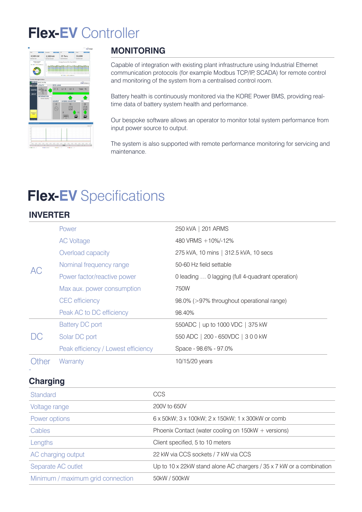## **Flex-EV** Controller



### **MONITORING**

Capable of integration with existing plant infrastructure using Industrial Ethernet communication protocols (for example Modbus TCP/IP, SCADA) for remote control and monitoring of the system from a centralised control room.

Battery health is continuously monitored via the KORE Power BMS, providing realtime data of battery system health and performance.

Our bespoke software allows an operator to monitor total system performance from input power source to output.

The system is also supported with remote performance monitoring for servicing and maintenance.

## **Flex-EV** Specifications

#### **INVERTER**

|                            | Power                               | 250 kVA   201 ARMS                               |
|----------------------------|-------------------------------------|--------------------------------------------------|
| AC                         | <b>AC Voltage</b>                   | 480 VRMS + 10%/-12%                              |
|                            | Overload capacity                   | 275 kVA, 10 mins   312.5 kVA, 10 secs            |
|                            | Nominal frequency range             | 50-60 Hz field settable                          |
|                            | Power factor/reactive power         | 0 leading  0 lagging (full 4-quadrant operation) |
|                            | Max aux. power consumption          | 750W                                             |
|                            | <b>CEC</b> efficiency               | 98.0% (>97% throughout operational range)        |
|                            | Peak AC to DC efficiency            | 98.40%                                           |
| $\bigcup$                  | <b>Battery DC port</b>              | 550ADC   up to 1000 VDC   375 kW                 |
|                            | Solar DC port                       | 550 ADC   200 - 650VDC   300 kW                  |
|                            | Peak efficiency / Lowest efficiency | Space - 98.6% - 97.0%                            |
| <b><i><u>Other</u></i></b> | Warranty                            | 10/15/20 years                                   |

#### **Charging**

-

| Standard                          | CCS                                                                  |
|-----------------------------------|----------------------------------------------------------------------|
| Voltage range                     | 200V to 650V                                                         |
| Power options                     | 6 x 50kW; 3 x 100kW; 2 x 150kW; 1 x 300kW or comb                    |
| Cables                            | Phoenix Contact (water cooling on $150kW + \text{versions}$ )        |
| Lengths                           | Client specified, 5 to 10 meters                                     |
| AC charging output                | 22 kW via CCS sockets / 7 kW via CCS                                 |
| Separate AC outlet                | Up to 10 x 22kW stand alone AC chargers / 35 x 7 kW or a combination |
| Minimum / maximum grid connection | 50kW / 500kW                                                         |